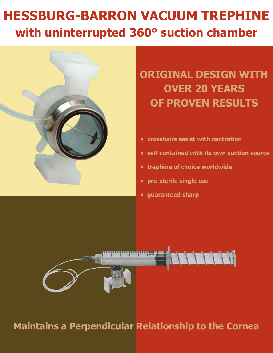## **HESSBURG-BARRON VACUUM TREPHINE with uninterrupted 360° suction chamber**



**ORIGINAL DESIGN WITH OVER 20 YEARS OF PROVEN RESULTS**

- **• crosshairs assist with centration**
- **self contained with its own suction source**
- **trephine of choice worldwide**
- **pre-sterile single use**
- **guaranteed sharp**



## **Maintains a Perpendicular Relationship to the Cornea**